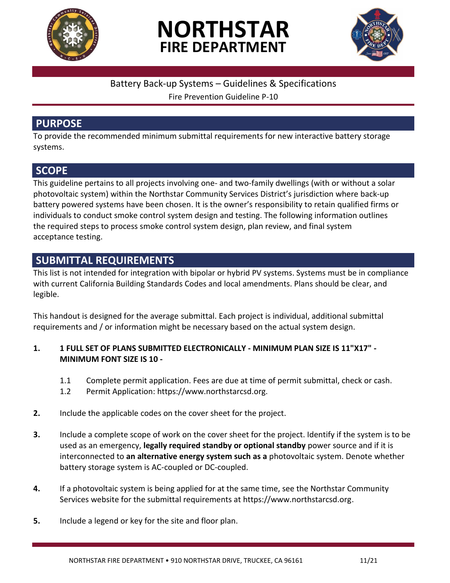





### Battery Back-up Systems – Guidelines & Specifications

Fire Prevention Guideline P-10

## **PURPOSE**

To provide the recommended minimum submittal requirements for new interactive battery storage systems.

# **SCOPE**

This guideline pertains to all projects involving one- and two-family dwellings (with or without a solar photovoltaic system) within the Northstar Community Services District's jurisdiction where back-up battery powered systems have been chosen. It is the owner's responsibility to retain qualified firms or individuals to conduct smoke control system design and testing. The following information outlines the required steps to process smoke control system design, plan review, and final system acceptance testing.

## **SUBMITTAL REQUIREMENTS**

This list is not intended for integration with bipolar or hybrid PV systems. Systems must be in compliance with current California Building Standards Codes and local amendments. Plans should be clear, and legible.

This handout is designed for the average submittal. Each project is individual, additional submittal requirements and / or information might be necessary based on the actual system design.

#### **1. 1 FULL SET OF PLANS SUBMITTED ELECTRONICALLY - MINIMUM PLAN SIZE IS 11"X17" - MINIMUM FONT SIZE IS 10 -**

- 1.1 Complete permit application. Fees are due at time of permit submittal, check or cash.
- 1.2 Permit Application: https://www.northstarcsd.org.
- **2.** Include the applicable codes on the cover sheet for the project.
- **3.** Include a complete scope of work on the cover sheet for the project. Identify if the system is to be used as an emergency, **legally required standby or optional standby** power source and if it is interconnected to **an alternative energy system such as a** photovoltaic system. Denote whether battery storage system is AC-coupled or DC-coupled.
- **4.** If a photovoltaic system is being applied for at the same time, see the Northstar Community Services website for the submittal requirements at https://www.northstarcsd.org.
- **5.** Include a legend or key for the site and floor plan.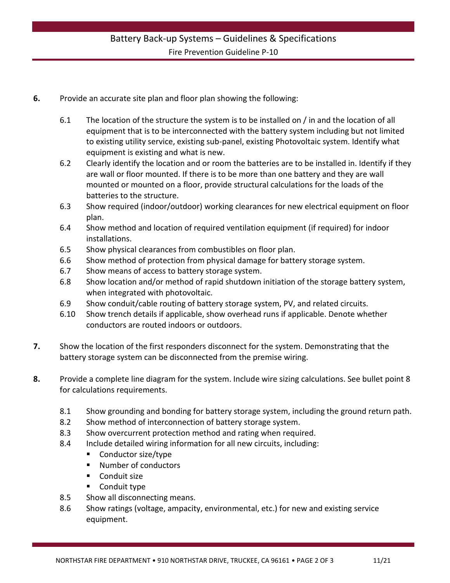- **6.** Provide an accurate site plan and floor plan showing the following:
	- 6.1 The location of the structure the system is to be installed on / in and the location of all equipment that is to be interconnected with the battery system including but not limited to existing utility service, existing sub-panel, existing Photovoltaic system. Identify what equipment is existing and what is new.
	- 6.2 Clearly identify the location and or room the batteries are to be installed in. Identify if they are wall or floor mounted. If there is to be more than one battery and they are wall mounted or mounted on a floor, provide structural calculations for the loads of the batteries to the structure.
	- 6.3 Show required (indoor/outdoor) working clearances for new electrical equipment on floor plan.
	- 6.4 Show method and location of required ventilation equipment (if required) for indoor installations.
	- 6.5 Show physical clearances from combustibles on floor plan.
	- 6.6 Show method of protection from physical damage for battery storage system.
	- 6.7 Show means of access to battery storage system.
	- 6.8 Show location and/or method of rapid shutdown initiation of the storage battery system, when integrated with photovoltaic.
	- 6.9 Show conduit/cable routing of battery storage system, PV, and related circuits.
	- 6.10 Show trench details if applicable, show overhead runs if applicable. Denote whether conductors are routed indoors or outdoors.
- **7.** Show the location of the first responders disconnect for the system. Demonstrating that the battery storage system can be disconnected from the premise wiring.
- **8.** Provide a complete line diagram for the system. Include wire sizing calculations. See bullet point 8 for calculations requirements.
	- 8.1 Show grounding and bonding for battery storage system, including the ground return path.
	- 8.2 Show method of interconnection of battery storage system.
	- 8.3 Show overcurrent protection method and rating when required.
	- 8.4 Include detailed wiring information for all new circuits, including:
		- Conductor size/type
		- Number of conductors
		- Conduit size
		- **Conduit type**
	- 8.5 Show all disconnecting means.
	- 8.6 Show ratings (voltage, ampacity, environmental, etc.) for new and existing service equipment.